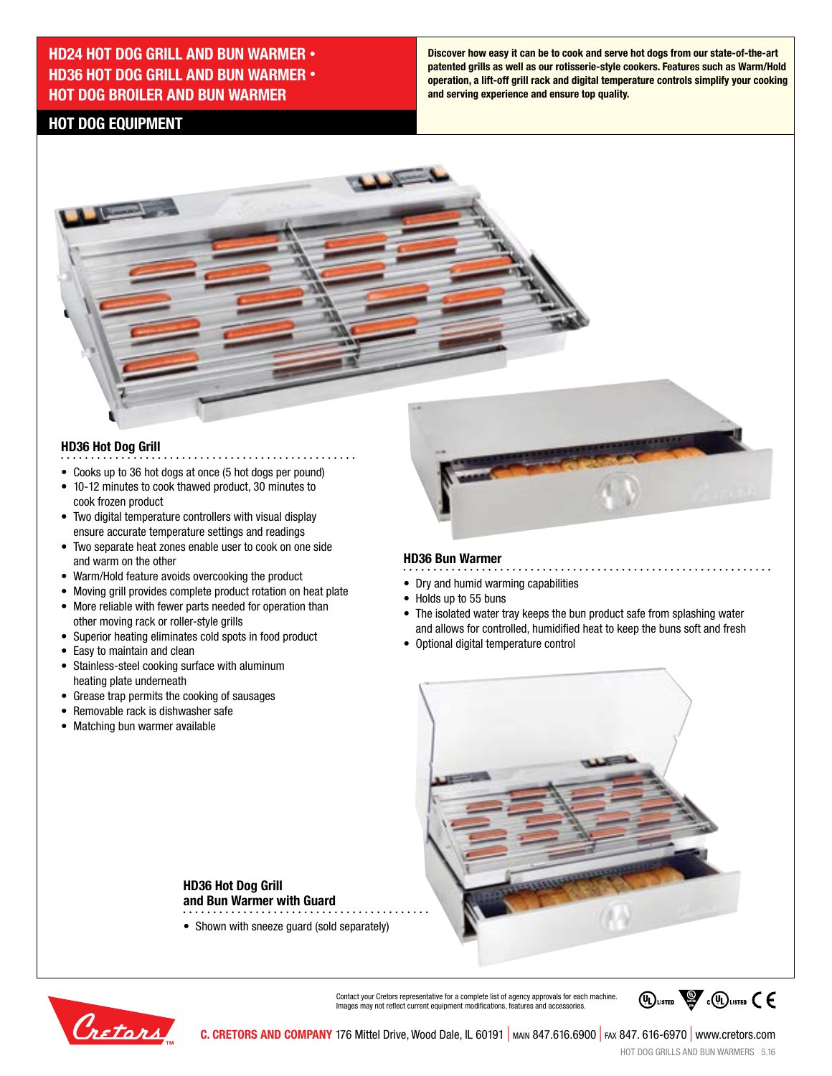## **HD24 HOT DOG GRILL AND BUN WARMER • HD36 HOT DOG GRILL AND BUN WARMER • HOT DOG BROILER AND BUN WARMER**

**Discover how easy it can be to cook and serve hot dogs from our state-of-the-art patented grills as well as our rotisserie-style cookers. Features such as Warm/Hold operation, a lift-off grill rack and digital temperature controls simplify your cooking and serving experience and ensure top quality.** 

## **HOT DOG EQUIPMENT**

 $\sqrt{2}$ 

### **HD36 Hot Dog Grill**

- Cooks up to 36 hot dogs at once (5 hot dogs per pound)
- 10-12 minutes to cook thawed product, 30 minutes to cook frozen product
- Two digital temperature controllers with visual display ensure accurate temperature settings and readings
- Two separate heat zones enable user to cook on one side and warm on the other
- Warm/Hold feature avoids overcooking the product
- Moving grill provides complete product rotation on heat plate

**HD36 Hot Dog Grill** 

**and Bun Warmer with Guard**

• Shown with sneeze quard (sold separately)

- More reliable with fewer parts needed for operation than other moving rack or roller-style grills
- Superior heating eliminates cold spots in food product
- Easy to maintain and clean
- Stainless-steel cooking surface with aluminum heating plate underneath
- Grease trap permits the cooking of sausages
- Removable rack is dishwasher safe
- Matching bun warmer available

#### **HD36 Bun Warmer**

**Allenance** 

- Dry and humid warming capabilities
- Holds up to 55 buns
- The isolated water tray keeps the bun product safe from splashing water and allows for controlled, humidified heat to keep the buns soft and fresh

. . . . . . . . . . . . . . . . . .

• Optional digital temperature control





Contact your Cretors representative for a complete list of agency approvals for each machine. Images may not reflect current equipment modifications, features and accessories.

**C. CRETORS AND COMPANY** 176 Mittel Drive, Wood Dale, IL 60191 | main 847.616.6900 | fax 847. 616-6970 | www.cretors.com

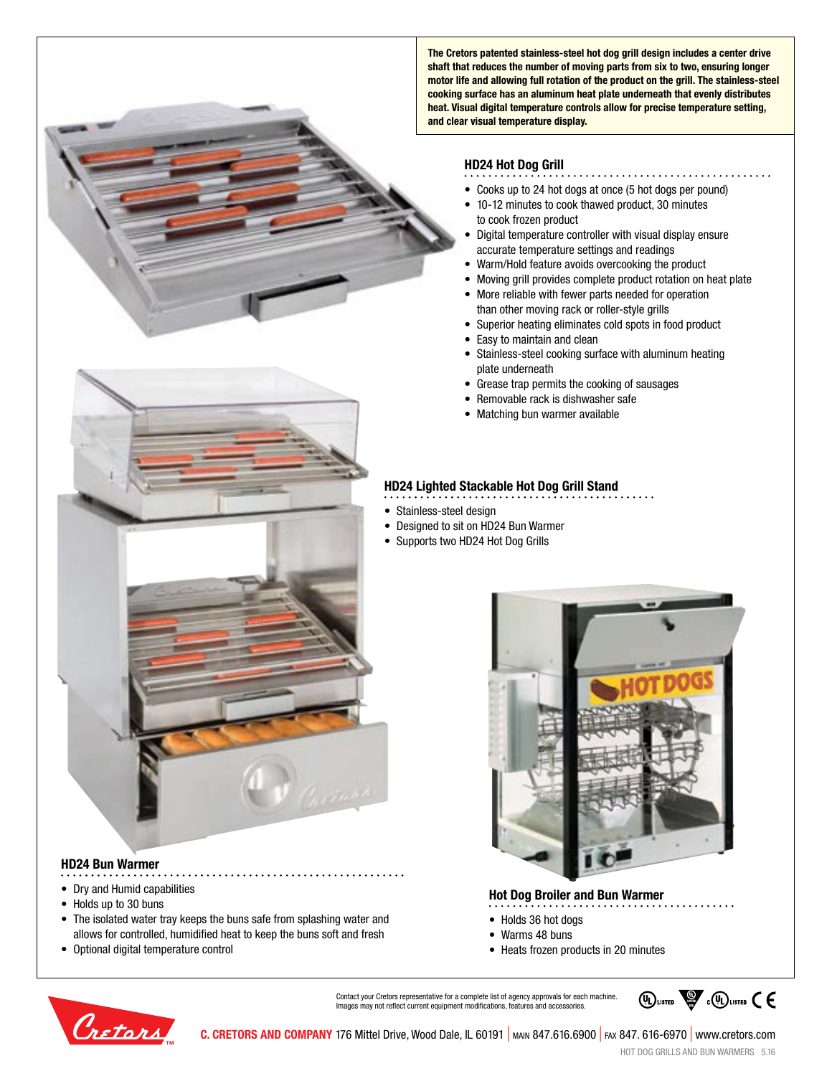**The Cretors patented stainless-steel hot dog grill design includes a center drive shaft that reduces the number of moving parts from six to two, ensuring longer motor life and allowing full rotation of the product on the grill. The stainless-steel cooking surface has an aluminum heat plate underneath that evenly distributes heat. Visual digital temperature controls allow for precise temperature setting, and clear visual temperature display.**

#### **HD24 Hot Dog Grill**

- 
- Cooks up to 24 hot dogs at once (5 hot dogs per pound)
- 10-12 minutes to cook thawed product, 30 minutes to cook frozen product
- Digital temperature controller with visual display ensure accurate temperature settings and readings
- Warm/Hold feature avoids overcooking the product
- Moving grill provides complete product rotation on heat plate
- More reliable with fewer parts needed for operation than other moving rack or roller-style grills
- Superior heating eliminates cold spots in food product
- Easy to maintain and clean
- Stainless-steel cooking surface with aluminum heating plate underneath
- Grease trap permits the cooking of sausages
- Removable rack is dishwasher safe
- Matching bun warmer available

#### **HD24 Lighted Stackable Hot Dog Grill Stand**

- Stainless-steel design
- Designed to sit on HD24 Bun Warmer
- Supports two HD24 Hot Dog Grills



#### **HD24 Bun Warmer**

- Dry and Humid capabilities
- Holds up to 30 buns
- The isolated water tray keeps the buns safe from splashing water and allows for controlled, humidified heat to keep the buns soft and fresh
- Optional digital temperature control



#### **Hot Dog Broiler and Bun Warmer**

- Holds 36 hot dogs
- Warms 48 buns
- Heats frozen products in 20 minutes



Contact your Cretors representative for a complete list of agency approvals for each machine. Images may not reflect current equipment modifications, features and accessories.



**C. CRETORS AND COMPANY** 176 Mittel Drive, Wood Dale, IL 60191 | main 847.616.6900 | fax 847. 616-6970 | www.cretors.com

HOT DOG GRILLS AND BUN WARMERS 5.16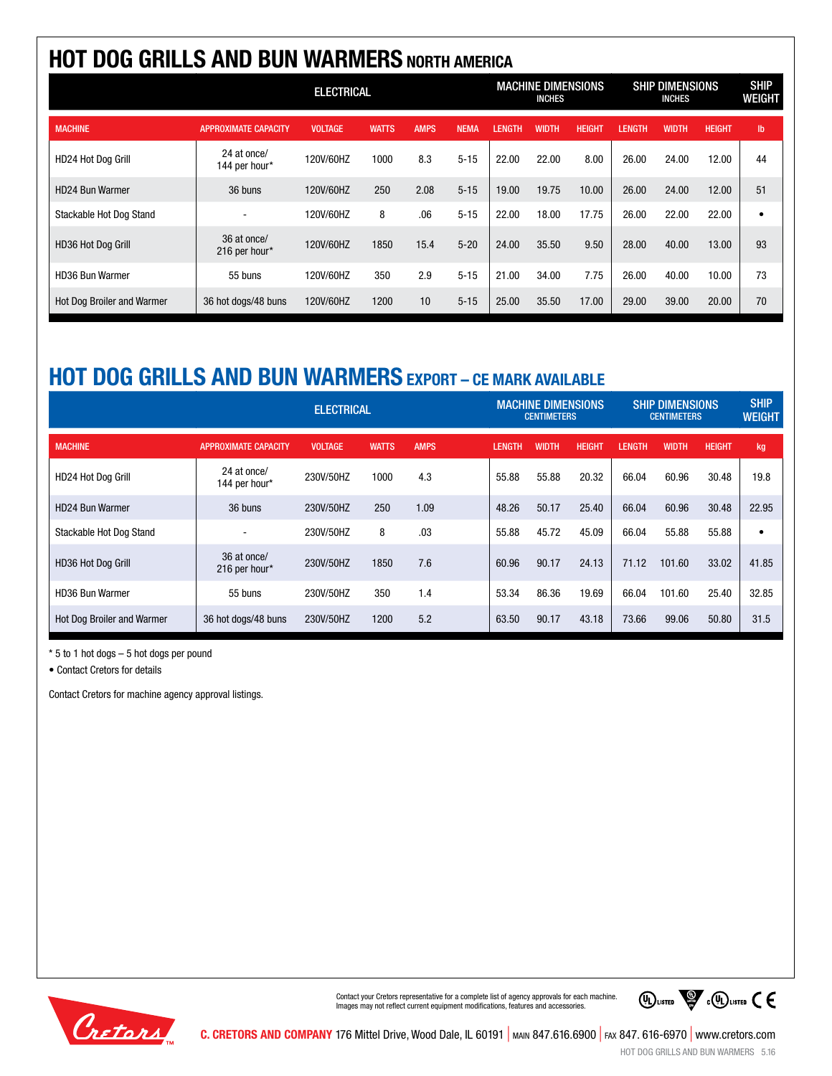# **HOT DOG GRILLS AND BUN WARMERS NORTH AMERICA**

|                                   | <b>ELECTRICAL</b>            |                |              |             |             | <b>MACHINE DIMENSIONS</b><br><b>INCHES</b> |       |               | <b>SHIP DIMENSIONS</b><br><b>INCHES</b> |              |               | <b>SHIP</b><br><b>WEIGHT</b> |
|-----------------------------------|------------------------------|----------------|--------------|-------------|-------------|--------------------------------------------|-------|---------------|-----------------------------------------|--------------|---------------|------------------------------|
| <b>MACHINE</b>                    | <b>APPROXIMATE CAPACITY</b>  | <b>VOLTAGE</b> | <b>WATTS</b> | <b>AMPS</b> | <b>NEMA</b> | LENGTH                                     | WIDTH | <b>HEIGHT</b> | <b>LENGTH</b>                           | <b>WIDTH</b> | <b>HEIGHT</b> | $\mathsf{lb}$                |
| HD24 Hot Dog Grill                | 24 at once/<br>144 per hour* | 120V/60HZ      | 1000         | 8.3         | $5 - 15$    | 22.00                                      | 22.00 | 8.00          | 26.00                                   | 24.00        | 12.00         | 44                           |
| <b>HD24 Bun Warmer</b>            | 36 buns                      | 120V/60HZ      | 250          | 2.08        | $5 - 15$    | 19.00                                      | 19.75 | 10.00         | 26.00                                   | 24.00        | 12.00         | 51                           |
| Stackable Hot Dog Stand           |                              | 120V/60HZ      | 8            | .06         | $5 - 15$    | 22.00                                      | 18.00 | 17.75         | 26.00                                   | 22.00        | 22.00         | ٠                            |
| HD36 Hot Dog Grill                | 36 at once/<br>216 per hour* | 120V/60HZ      | 1850         | 15.4        | $5 - 20$    | 24.00                                      | 35.50 | 9.50          | 28.00                                   | 40.00        | 13.00         | 93                           |
| <b>HD36 Bun Warmer</b>            | 55 buns                      | 120V/60HZ      | 350          | 2.9         | $5 - 15$    | 21.00                                      | 34.00 | 7.75          | 26.00                                   | 40.00        | 10.00         | 73                           |
| <b>Hot Dog Broiler and Warmer</b> | 36 hot dogs/48 buns          | 120V/60HZ      | 1200         | 10          | $5 - 15$    | 25.00                                      | 35.50 | 17.00         | 29.00                                   | 39.00        | 20.00         | 70                           |

# **HOT DOG GRILLS AND BUN WARMERS EXPORT – CE MARK AVAILABLE**

|                                   | <b>ELECTRICAL</b>            |                |              | <b>MACHINE DIMENSIONS</b><br><b>CENTIMETERS</b> |               |       | <b>SHIP DIMENSIONS</b><br><b>CENTIMETERS</b> |               |              | <b>SHIP</b><br><b>WEIGHT</b> |       |
|-----------------------------------|------------------------------|----------------|--------------|-------------------------------------------------|---------------|-------|----------------------------------------------|---------------|--------------|------------------------------|-------|
| <b>MACHINE</b>                    | <b>APPROXIMATE CAPACITY</b>  | <b>VOLTAGE</b> | <b>WATTS</b> | <b>AMPS</b>                                     | <b>LENGTH</b> | WIDTH | <b>HEIGHT</b>                                | <b>LENGTH</b> | <b>WIDTH</b> | <b>HEIGHT</b>                | kg    |
| HD24 Hot Dog Grill                | 24 at once/<br>144 per hour* | 230V/50HZ      | 1000         | 4.3                                             | 55.88         | 55.88 | 20.32                                        | 66.04         | 60.96        | 30.48                        | 19.8  |
| HD24 Bun Warmer                   | 36 buns                      | 230V/50HZ      | 250          | 1.09                                            | 48.26         | 50.17 | 25.40                                        | 66.04         | 60.96        | 30.48                        | 22.95 |
| Stackable Hot Dog Stand           |                              | 230V/50HZ      | 8            | .03                                             | 55.88         | 45.72 | 45.09                                        | 66.04         | 55.88        | 55.88                        | ٠     |
| HD36 Hot Dog Grill                | 36 at once/<br>216 per hour* | 230V/50HZ      | 1850         | 7.6                                             | 60.96         | 90.17 | 24.13                                        | 71.12         | 101.60       | 33.02                        | 41.85 |
| HD36 Bun Warmer                   | 55 buns                      | 230V/50HZ      | 350          | 1.4                                             | 53.34         | 86.36 | 19.69                                        | 66.04         | 101.60       | 25.40                        | 32.85 |
| <b>Hot Dog Broiler and Warmer</b> | 36 hot dogs/48 buns          | 230V/50HZ      | 1200         | 5.2                                             | 63.50         | 90.17 | 43.18                                        | 73.66         | 99.06        | 50.80                        | 31.5  |

\* 5 to 1 hot dogs – 5 hot dogs per pound

• Contact Cretors for details

Contact Cretors for machine agency approval listings.



Contact your Cretors representative for a complete list of agency approvals for each machine. Images may not reflect current equipment modifications, features and accessories.